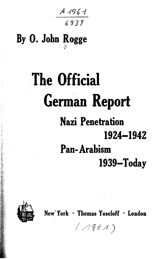A 1961<br>6939

## **By 0. John Rogge V**

## **The Official German Report Nazi Penetration 1924-1942 Pan-Arabism 1939-Today**



**New" York \* Thomas Yoseloff \* London**

 $(1961)$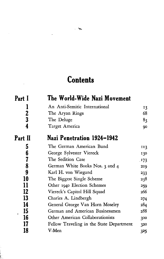## **Contents**

 $\overline{\phantom{0}}$ 

l,

 $\bar{z}$ 

ì, 

| Part I                  | The World-Wide Nazi Movement             |      |
|-------------------------|------------------------------------------|------|
|                         | An Anti-Semitic International            | 13   |
| $\mathbf 2$             | The Aryan Rings                          | 68   |
| $\overline{\mathbf{3}}$ | The Deluge                               | 83   |
| 4                       | Target America                           | 90   |
| Part II                 | Nazi Penetration 1924–1942               |      |
| 5                       | The German American Bund                 | 113  |
| 6                       | George Sylvester Viereck                 | 130  |
| 7                       | The Sedition Case                        | .173 |
| 8                       | German White Books Nos. 3 and 4          | 219  |
| 9                       | Karl H. von Wiegand                      | 233  |
| 10                      | The Biggest Single Scheme                | 238  |
| 11                      | Other 1940 Election Schemes              | 259  |
| 12                      | Viereck's Capitol Hill Squad             | 266  |
| 13                      | Charles A. Lindbergh                     | 274  |
| 14                      | General George Van Horn Moseley          | 284  |
| 15<br>٠                 | German and American Businessmen          | 288  |
| 16                      | Other American Collaborationists         | 300  |
| 17                      | Fellow Traveling in the State Department | 320  |
| 18                      | V-Men                                    | 325  |